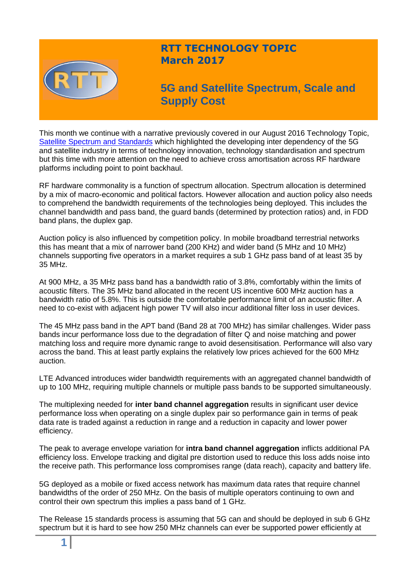

## **RTT TECHNOLOGY TOPIC March 2017**

# **5G and Satellite Spectrum, Scale and Supply Cost**

This month we continue with a narrative previously covered in our August 2016 Technology Topic, [Satellite Spectrum and Standards](http://www.rttonline.com/tt/TT2016_008.pdf) which highlighted the developing inter dependency of the 5G and satellite industry in terms of technology innovation, technology standardisation and spectrum but this time with more attention on the need to achieve cross amortisation across RF hardware platforms including point to point backhaul.

RF hardware commonality is a function of spectrum allocation. Spectrum allocation is determined by a mix of macro-economic and political factors. However allocation and auction policy also needs to comprehend the bandwidth requirements of the technologies being deployed. This includes the channel bandwidth and pass band, the guard bands (determined by protection ratios) and, in FDD band plans, the duplex gap.

Auction policy is also influenced by competition policy. In mobile broadband terrestrial networks this has meant that a mix of narrower band (200 KHz) and wider band (5 MHz and 10 MHz) channels supporting five operators in a market requires a sub 1 GHz pass band of at least 35 by 35 MHz.

At 900 MHz, a 35 MHz pass band has a bandwidth ratio of 3.8%, comfortably within the limits of acoustic filters. The 35 MHz band allocated in the recent US incentive 600 MHz auction has a bandwidth ratio of 5.8%. This is outside the comfortable performance limit of an acoustic filter. A need to co-exist with adjacent high power TV will also incur additional filter loss in user devices.

The 45 MHz pass band in the APT band (Band 28 at 700 MHz) has similar challenges. Wider pass bands incur performance loss due to the degradation of filter Q and noise matching and power matching loss and require more dynamic range to avoid desensitisation. Performance will also vary across the band. This at least partly explains the relatively low prices achieved for the 600 MHz auction.

LTE Advanced introduces wider bandwidth requirements with an aggregated channel bandwidth of up to 100 MHz, requiring multiple channels or multiple pass bands to be supported simultaneously.

The multiplexing needed for **inter band channel aggregation** results in significant user device performance loss when operating on a single duplex pair so performance gain in terms of peak data rate is traded against a reduction in range and a reduction in capacity and lower power efficiency.

The peak to average envelope variation for **intra band channel aggregation** inflicts additional PA efficiency loss. Envelope tracking and digital pre distortion used to reduce this loss adds noise into the receive path. This performance loss compromises range (data reach), capacity and battery life.

5G deployed as a mobile or fixed access network has maximum data rates that require channel bandwidths of the order of 250 MHz. On the basis of multiple operators continuing to own and control their own spectrum this implies a pass band of 1 GHz.

The Release 15 standards process is assuming that 5G can and should be deployed in sub 6 GHz spectrum but it is hard to see how 250 MHz channels can ever be supported power efficiently at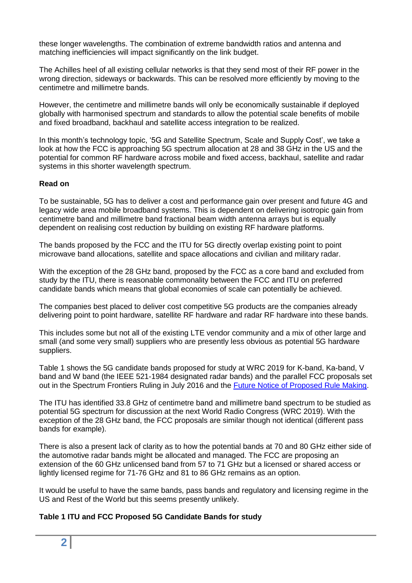these longer wavelengths. The combination of extreme bandwidth ratios and antenna and matching inefficiencies will impact significantly on the link budget.

The Achilles heel of all existing cellular networks is that they send most of their RF power in the wrong direction, sideways or backwards. This can be resolved more efficiently by moving to the centimetre and millimetre bands.

However, the centimetre and millimetre bands will only be economically sustainable if deployed globally with harmonised spectrum and standards to allow the potential scale benefits of mobile and fixed broadband, backhaul and satellite access integration to be realized.

In this month's technology topic, '5G and Satellite Spectrum, Scale and Supply Cost', we take a look at how the FCC is approaching 5G spectrum allocation at 28 and 38 GHz in the US and the potential for common RF hardware across mobile and fixed access, backhaul, satellite and radar systems in this shorter wavelength spectrum.

#### **Read on**

To be sustainable, 5G has to deliver a cost and performance gain over present and future 4G and legacy wide area mobile broadband systems. This is dependent on delivering isotropic gain from centimetre band and millimetre band fractional beam width antenna arrays but is equally dependent on realising cost reduction by building on existing RF hardware platforms.

The bands proposed by the FCC and the ITU for 5G directly overlap existing point to point microwave band allocations, satellite and space allocations and civilian and military radar.

With the exception of the 28 GHz band, proposed by the FCC as a core band and excluded from study by the ITU, there is reasonable commonality between the FCC and ITU on preferred candidate bands which means that global economies of scale can potentially be achieved.

The companies best placed to deliver cost competitive 5G products are the companies already delivering point to point hardware, satellite RF hardware and radar RF hardware into these bands.

This includes some but not all of the existing LTE vendor community and a mix of other large and small (and some very small) suppliers who are presently less obvious as potential 5G hardware suppliers.

Table 1 shows the 5G candidate bands proposed for study at WRC 2019 for K-band, Ka-band, V band and W band (the IEEE 521-1984 designated radar bands) and the parallel FCC proposals set out in the Spectrum Frontiers Ruling in July 2016 and the [Future Notice of Proposed Rule Making.](https://www.fcc.gov/document/fcc-promotes-higher-frequency-spectrum-future-wireless-technology)

The ITU has identified 33.8 GHz of centimetre band and millimetre band spectrum to be studied as potential 5G spectrum for discussion at the next World Radio Congress (WRC 2019). With the exception of the 28 GHz band, the FCC proposals are similar though not identical (different pass bands for example).

There is also a present lack of clarity as to how the potential bands at 70 and 80 GHz either side of the automotive radar bands might be allocated and managed. The FCC are proposing an extension of the 60 GHz unlicensed band from 57 to 71 GHz but a licensed or shared access or lightly licensed regime for 71-76 GHz and 81 to 86 GHz remains as an option.

It would be useful to have the same bands, pass bands and regulatory and licensing regime in the US and Rest of the World but this seems presently unlikely.

#### **Table 1 ITU and FCC Proposed 5G Candidate Bands for study**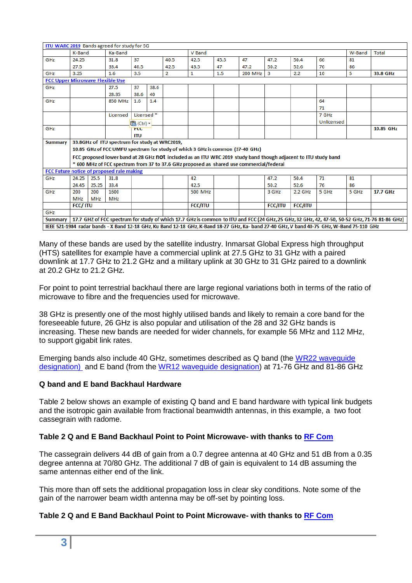| ITU WARC 2019 Bands agreed for study for 5G                                                                                               |                                                                                                                |            |                                           |                       |      |                |                |      |                |                |         |            |           |                                                                                                                                               |
|-------------------------------------------------------------------------------------------------------------------------------------------|----------------------------------------------------------------------------------------------------------------|------------|-------------------------------------------|-----------------------|------|----------------|----------------|------|----------------|----------------|---------|------------|-----------|-----------------------------------------------------------------------------------------------------------------------------------------------|
|                                                                                                                                           | K-Band<br>Ka-Band                                                                                              |            |                                           |                       |      |                | V Band         |      |                |                |         |            | W-Band    | Total                                                                                                                                         |
| GHZ                                                                                                                                       | 24.25                                                                                                          |            | 31.8                                      | 37                    |      | 40.5           | 42.5           | 45.5 | 47             | 47.2           | 50.4    | 66         | 81        |                                                                                                                                               |
|                                                                                                                                           | 27.5                                                                                                           |            | 33.4                                      | 40.5                  |      | 42.5           | 43.5           | 47   | 47.2           | 50.2           | 52.6    | 76         | 86        |                                                                                                                                               |
| GHZ                                                                                                                                       | 3.25                                                                                                           |            | 1.6                                       | 3.5                   |      | $\overline{2}$ | 1              | 1.5  | 200 MHz        | $\mathbf{3}$   | 2.2     | 10         | 5         | 33.8 GHz                                                                                                                                      |
| <b>FCC Upper Microwave Flexible Use</b>                                                                                                   |                                                                                                                |            |                                           |                       |      |                |                |      |                |                |         |            |           |                                                                                                                                               |
| GHz                                                                                                                                       |                                                                                                                |            | 27.5                                      | 37                    | 38.6 |                |                |      |                |                |         |            |           |                                                                                                                                               |
|                                                                                                                                           |                                                                                                                |            | 28.35                                     | 38.6                  | 40   |                |                |      |                |                |         |            |           |                                                                                                                                               |
| GHZ                                                                                                                                       |                                                                                                                |            | 850 MHz                                   | $1.6\,$               | 1.4  |                |                |      |                |                |         | 64         |           |                                                                                                                                               |
|                                                                                                                                           |                                                                                                                |            |                                           |                       |      |                |                |      |                |                |         | 71         |           |                                                                                                                                               |
|                                                                                                                                           |                                                                                                                |            | Licensed                                  | Licensed <sup>*</sup> |      |                |                |      |                |                |         | 7 GHz      |           |                                                                                                                                               |
|                                                                                                                                           |                                                                                                                |            |                                           | @ (Ctrl) - L          |      |                |                |      |                |                |         | Unlicensed |           |                                                                                                                                               |
| GHZ                                                                                                                                       |                                                                                                                |            | <b>FLC</b>                                |                       |      |                |                |      |                |                |         |            | 10.85 GHz |                                                                                                                                               |
|                                                                                                                                           |                                                                                                                |            |                                           | ITU                   |      |                |                |      |                |                |         |            |           |                                                                                                                                               |
| <b>Summary</b>                                                                                                                            | 33.8GHz of ITU spectrum for study at WRC2019,                                                                  |            |                                           |                       |      |                |                |      |                |                |         |            |           |                                                                                                                                               |
|                                                                                                                                           | 10.85 GHz of FCC UMFU spectrum for study of which 3 GHz is common (37-40 GHz)                                  |            |                                           |                       |      |                |                |      |                |                |         |            |           |                                                                                                                                               |
|                                                                                                                                           | FCC proposed lower band at 28 GHz not included as an ITU WRC 2019 study band though adjacent to ITU study band |            |                                           |                       |      |                |                |      |                |                |         |            |           |                                                                                                                                               |
|                                                                                                                                           | * 600 MHz of FCC spectrum from 37 to 37.6 GHz proposed as shared use commercial/federal                        |            |                                           |                       |      |                |                |      |                |                |         |            |           |                                                                                                                                               |
|                                                                                                                                           |                                                                                                                |            | FCC Future notice of proposed rule making |                       |      |                |                |      |                |                |         |            |           |                                                                                                                                               |
| GHz                                                                                                                                       | 24.25                                                                                                          | 25.5       | 31.8                                      |                       |      |                | 42             |      |                | 47.2           | 50.4    | 71         | 81        |                                                                                                                                               |
|                                                                                                                                           | 24.45                                                                                                          | 25.25      | 33.4                                      |                       |      |                | 42.5           |      |                | 50.2           | 52.6    | 76         | 86        |                                                                                                                                               |
| GHZ                                                                                                                                       | 200                                                                                                            | 200        | 1600                                      |                       |      |                | <b>500 MHz</b> |      |                | 3 GHz          | 2.2 GHz | 5 GHz      | 5 GHz     | 17.7 GHz                                                                                                                                      |
|                                                                                                                                           | <b>MHz</b>                                                                                                     | <b>MHz</b> | <b>MHz</b>                                |                       |      |                |                |      |                |                |         |            |           |                                                                                                                                               |
|                                                                                                                                           | <b>FCC/ITU</b>                                                                                                 |            |                                           |                       |      | <b>FCC/ITU</b> |                |      | <b>FCC/ITU</b> | <b>FCC/ITU</b> |         |            |           |                                                                                                                                               |
| GHZ                                                                                                                                       |                                                                                                                |            |                                           |                       |      |                |                |      |                |                |         |            |           |                                                                                                                                               |
| <b>Summary</b>                                                                                                                            |                                                                                                                |            |                                           |                       |      |                |                |      |                |                |         |            |           | 17.7 GHZ of FCC spectrum for study of which 17.7 GHz is common to ITU and FCC (24 GHz, 25 GHz, 32 GHz, 42, 47-50, 50-52 GHz, 71-76 81-86 GHz) |
| IEEE 521-1984 radar bands - X Band 12-18 GHz, Ku Band 12-18 GHz, K-Band 18-27 GHz, Ka-band 27-40 GHz, V band 40-75 GHz, W-Band 75-110 GHz |                                                                                                                |            |                                           |                       |      |                |                |      |                |                |         |            |           |                                                                                                                                               |

Many of these bands are used by the satellite industry. Inmarsat Global Express high throughput (HTS) satellites for example have a commercial uplink at 27.5 GHz to 31 GHz with a paired downlink at 17.7 GHz to 21.2 GHz and a military uplink at 30 GHz to 31 GHz paired to a downlink at 20.2 GHz to 21.2 GHz.

For point to point terrestrial backhaul there are large regional variations both in terms of the ratio of microwave to fibre and the frequencies used for microwave.

38 GHz is presently one of the most highly utilised bands and likely to remain a core band for the foreseeable future, 26 GHz is also popular and utilisation of the 28 and 32 GHz bands is increasing. These new bands are needed for wider channels, for example 56 MHz and 112 MHz, to support gigabit link rates.

Emerging bands also include 40 GHz, sometimes described as Q band (the [WR22 waveguide](http://www.radio-electronics.com/info/antennas/waveguide/rf-waveguide-dimensions-sizes.php)  [designation\)](http://www.radio-electronics.com/info/antennas/waveguide/rf-waveguide-dimensions-sizes.php) and E band (from the [WR12 waveguide designation\)](http://www.everythingrf.com/tech-resources/waveguides-sizes) at 71-76 GHz and 81-86 GHz

#### **Q band and E band Backhaul Hardware**

Table 2 below shows an example of existing Q band and E band hardware with typical link budgets and the isotropic gain available from fractional beamwidth antennas, in this example, a two foot cassegrain with radome.

#### **Table 2 Q and E Band Backhaul Point to Point Microwave- with thanks to [RF Com](http://www.rfcom.co.uk/index.php)**

The cassegrain delivers 44 dB of gain from a 0.7 degree antenna at 40 GHz and 51 dB from a 0.35 degree antenna at 70/80 GHz. The additional 7 dB of gain is equivalent to 14 dB assuming the same antennas either end of the link.

This more than off sets the additional propagation loss in clear sky conditions. Note some of the gain of the narrower beam width antenna may be off-set by pointing loss.

#### **Table 2 Q and E Band Backhaul Point to Point Microwave- with thanks to [RF Com](http://www.rfcom.co.uk/index.php)**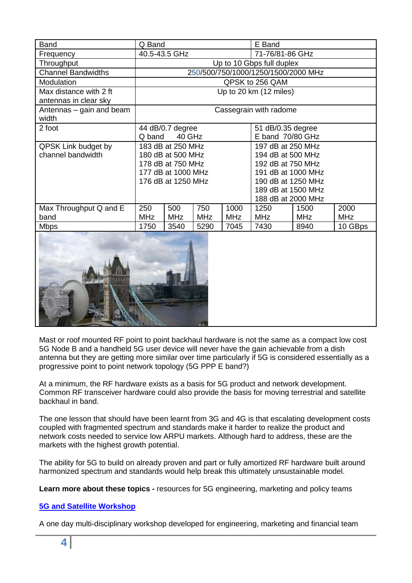| <b>Band</b>                                     | Q Band                              |                                                                                                         |            |            | E Band                                                                                                                                              |            |            |  |  |  |
|-------------------------------------------------|-------------------------------------|---------------------------------------------------------------------------------------------------------|------------|------------|-----------------------------------------------------------------------------------------------------------------------------------------------------|------------|------------|--|--|--|
| Frequency                                       |                                     | 40.5-43.5 GHz                                                                                           |            |            | 71-76/81-86 GHz                                                                                                                                     |            |            |  |  |  |
| Throughput                                      | Up to 10 Gbps full duplex           |                                                                                                         |            |            |                                                                                                                                                     |            |            |  |  |  |
| <b>Channel Bandwidths</b>                       | 250/500/750/1000/1250/1500/2000 MHz |                                                                                                         |            |            |                                                                                                                                                     |            |            |  |  |  |
| <b>Modulation</b>                               | QPSK to 256 QAM                     |                                                                                                         |            |            |                                                                                                                                                     |            |            |  |  |  |
| Max distance with 2 ft<br>antennas in clear sky | Up to 20 km (12 miles)              |                                                                                                         |            |            |                                                                                                                                                     |            |            |  |  |  |
| Antennas – gain and beam<br>width               | Cassegrain with radome              |                                                                                                         |            |            |                                                                                                                                                     |            |            |  |  |  |
| 2 foot                                          | Q band                              | 44 dB/0.7 degree<br>40 GHz                                                                              |            |            | 51 dB/0.35 degree<br>E band 70/80 GHz                                                                                                               |            |            |  |  |  |
| <b>QPSK Link budget by</b><br>channel bandwidth |                                     | 183 dB at 250 MHz<br>180 dB at 500 MHz<br>178 dB at 750 MHz<br>177 dB at 1000 MHz<br>176 dB at 1250 MHz |            |            | 197 dB at 250 MHz<br>194 dB at 500 MHz<br>192 dB at 750 MHz<br>191 dB at 1000 MHz<br>190 dB at 1250 MHz<br>189 dB at 1500 MHz<br>188 dB at 2000 MHz |            |            |  |  |  |
| Max Throughput Q and E                          | 250                                 | 500                                                                                                     | 750        | 1000       | 1250                                                                                                                                                | 1500       | 2000       |  |  |  |
| band                                            | <b>MHz</b>                          | <b>MHz</b>                                                                                              | <b>MHz</b> | <b>MHz</b> | <b>MHz</b>                                                                                                                                          | <b>MHz</b> | <b>MHz</b> |  |  |  |
| <b>Mbps</b>                                     | 1750                                | 3540                                                                                                    | 5290       | 7045       | 7430                                                                                                                                                | 8940       | 10 GBps    |  |  |  |
|                                                 |                                     |                                                                                                         |            |            |                                                                                                                                                     |            |            |  |  |  |



Mast or roof mounted RF point to point backhaul hardware is not the same as a compact low cost 5G Node B and a handheld 5G user device will never have the gain achievable from a dish antenna but they are getting more similar over time particularly if 5G is considered essentially as a progressive point to point network topology (5G PPP E band?)

At a minimum, the RF hardware exists as a basis for 5G product and network development. Common RF transceiver hardware could also provide the basis for moving terrestrial and satellite backhaul in band.

The one lesson that should have been learnt from 3G and 4G is that escalating development costs coupled with fragmented spectrum and standards make it harder to realize the product and network costs needed to service low ARPU markets. Although hard to address, these are the markets with the highest growth potential.

The ability for 5G to build on already proven and part or fully amortized RF hardware built around harmonized spectrum and standards would help break this ultimately unsustainable model.

**Learn more about these topics -** resources for 5G engineering, marketing and policy teams

### **[5G and Satellite Workshop](http://www.rttonline.com/5G%20workshop.html)**

A one day multi-disciplinary workshop developed for engineering, marketing and financial team